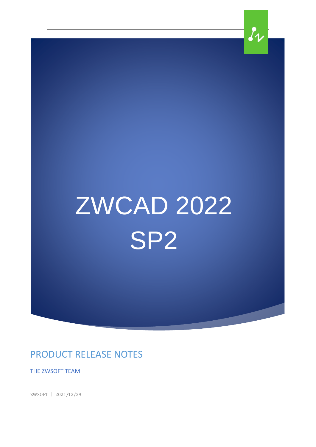# ZWCAD 2022 SP2

 $\ell_{\nu}$ 

PRODUCT RELEASE NOTES

THE ZWSOFT TEAM

ZWSOFT 丨 2021/12/29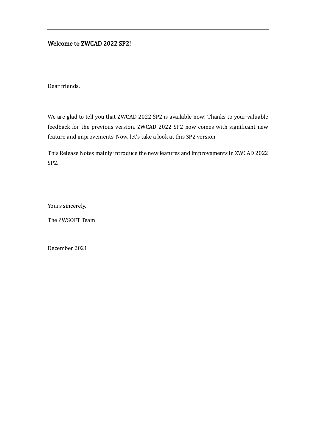#### Welcome to ZWCAD 2022 SP2!

Dear friends,

We are glad to tell you that ZWCAD 2022 SP2 is available now! Thanks to your valuable feedback for the previous version, ZWCAD 2022 SP2 now comes with significant new feature and improvements. Now, let's take a look at this SP2 version.

This Release Notes mainly introduce the new features and improvements in ZWCAD 2022 SP2.

Yours sincerely,

The ZWSOFT Team

December 2021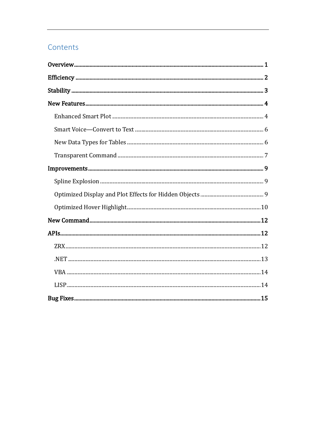## Contents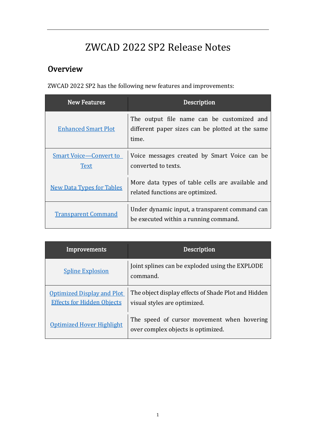## ZWCAD 2022 SP2 Release Notes

## <span id="page-3-0"></span>**Overview**

ZWCAD 2022 SP2 has the following new features and improvements:

| <b>New Features</b>                          | <b>Description</b>                                                                                      |
|----------------------------------------------|---------------------------------------------------------------------------------------------------------|
| <b>Enhanced Smart Plot</b>                   | The output file name can be customized and<br>different paper sizes can be plotted at the same<br>time. |
| <b>Smart Voice-Convert to</b><br><b>Text</b> | Voice messages created by Smart Voice can be<br>converted to texts.                                     |
| <b>New Data Types for Tables</b>             | More data types of table cells are available and<br>related functions are optimized.                    |
| <b>Transparent Command</b>                   | Under dynamic input, a transparent command can<br>be executed within a running command.                 |

| Improvements                                                           | <b>Description</b>                                                                  |
|------------------------------------------------------------------------|-------------------------------------------------------------------------------------|
| <b>Spline Explosion</b>                                                | Joint splines can be exploded using the EXPLODE<br>command.                         |
| <b>Optimized Display and Plot</b><br><b>Effects for Hidden Objects</b> | The object display effects of Shade Plot and Hidden<br>visual styles are optimized. |
| Optimized Hover Highlight                                              | The speed of cursor movement when hovering<br>over complex objects is optimized.    |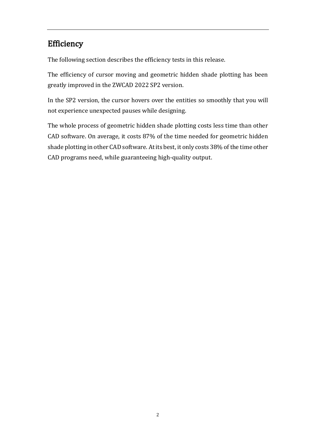## <span id="page-4-0"></span>Efficiency

The following section describes the efficiency tests in this release.

The efficiency of cursor moving and geometric hidden shade plotting has been greatly improved in the ZWCAD 2022 SP2 version.

In the SP2 version, the cursor hovers over the entities so smoothly that you will not experience unexpected pauses while designing.

The whole process of geometric hidden shade plotting costs less time than other CAD software. On average, it costs 87% of the time needed for geometric hidden shade plotting in other CAD software. At its best, it only costs 38% of the time other CAD programs need, while guaranteeing high-quality output.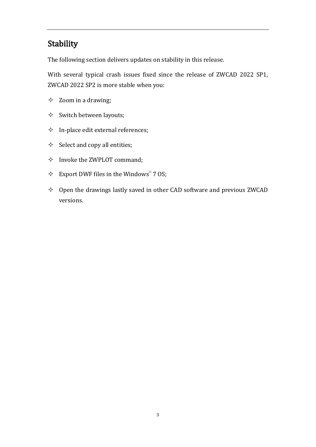## <span id="page-5-0"></span>**Stability**

The following section delivers updates on stability in this release.

With several typical crash issues fixed since the release of ZWCAD 2022 SP1, ZWCAD 2022 SP2 is more stable when you:

- $\Diamond$  Zoom in a drawing;
- $\diamond$  Switch between layouts;
- $\Diamond$  In-place edit external references;
- $\diamond$  Select and copy all entities;
- $\Diamond$  Invoke the ZWPLOT command;
- $\div$  Export DWF files in the Windows® 7 OS;
- $\Diamond$  Open the drawings lastly saved in other CAD software and previous ZWCAD versions.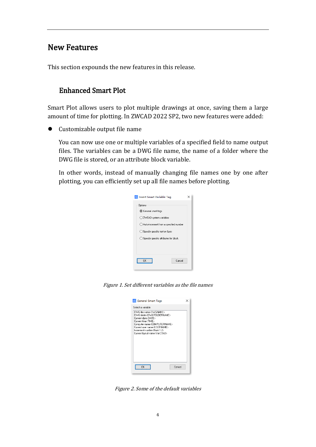#### <span id="page-6-0"></span>New Features

<span id="page-6-1"></span>This section expounds the new features in this release.

#### Enhanced Smart Plot

Smart Plot allows users to plot multiple drawings at once, saving them a large amount of time for plotting. In ZWCAD 2022 SP2, two new features were added:

⚫ Customizable output file name

You can now use one or multiple variables of a specified field to name output files. The variables can be a DWG file name, the name of a folder where the DWG file is stored, or an attribute block variable.

In other words, instead of manually changing file names one by one after plotting, you can efficiently set up all file names before plotting.



Figure 1. Set different variables as the file names



Figure 2. Some of the default variables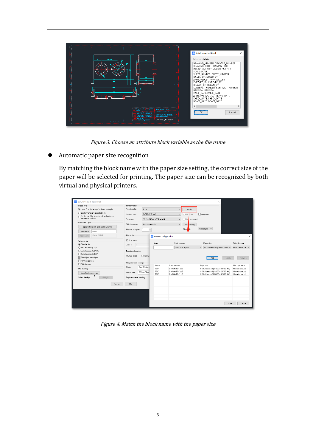

Figure 3. Choose an attribute block variable as the file name

⚫ Automatic paper size recognition

By matching the block name with the paper size setting, the correct size of the paper will be selected for printing. The paper size can be recognized by both virtual and physical printers.

| Frame style                |                                                                                 | Printer/Plotter          |                |                               |                |                 |                                                                                  |                                         |                                   |
|----------------------------|---------------------------------------------------------------------------------|--------------------------|----------------|-------------------------------|----------------|-----------------|----------------------------------------------------------------------------------|-----------------------------------------|-----------------------------------|
|                            | C Layer: Specify the layer's closed rectangle                                   | Preset config:           | None           |                               | $\vee$         | Modify          |                                                                                  |                                         |                                   |
|                            | Block: Frames are specific blocks                                               | Device name:             | DWG to PDF.pc5 |                               | $\checkmark$   | Plot to file    | Multipage                                                                        |                                         |                                   |
|                            | $\bigcirc$ Scatter line: The frame is a closed rectangle<br>surrounded by lines | Paper size:              |                | ISO A4 (210.00 x 297.00 MM)   | $\checkmark$   | Block automatch |                                                                                  |                                         |                                   |
| Block and Laver            |                                                                                 | Plot style name:         | Monochrome.ctb |                               | $\vee$         | Block setting   |                                                                                  |                                         |                                   |
|                            | Specify the block and laver in Drawing                                          |                          |                |                               |                |                 | As displayed $\sim$                                                              |                                         |                                   |
| Layer name                 | border.                                                                         | Number of copies:        | H              |                               |                | Shade plot:     |                                                                                  |                                         |                                   |
| Block name                 | "Frame."TITLE                                                                   | Plot scale               |                | <b>W</b> Preset Configuration |                |                 |                                                                                  |                                         |                                   |
| What to plot               |                                                                                 | □ Fit to paper           |                |                               |                |                 |                                                                                  |                                         |                                   |
| O Plot directly            |                                                                                 | Scale 1:<br>$\vert$ 1    |                | Name:                         | Device name:   |                 | Paper size:                                                                      |                                         | Plot style name:                  |
|                            |                                                                                 |                          |                |                               |                | DWG to PDF.pc5  | $\sim$                                                                           | ISO full bleed A2 (594.00 x 420. $\sim$ | Monochrome.ctb ~                  |
| ◯ Print existing layout(s) |                                                                                 |                          |                |                               |                |                 |                                                                                  |                                         |                                   |
| ◯ Cut into separate DWG    |                                                                                 | Drawing orientation      |                |                               |                |                 |                                                                                  |                                         |                                   |
| ◯ Dut into separate DXF    |                                                                                 |                          |                |                               |                |                 |                                                                                  |                                         |                                   |
| Plot object lineweights    |                                                                                 | (a) Auto rotate          | O Portrait     |                               |                |                 | Add                                                                              | Modify                                  | Remove.                           |
| □ Plot transparency        |                                                                                 |                          |                |                               |                |                 |                                                                                  |                                         |                                   |
| □ Plot stamp on            |                                                                                 | File generation settings |                | Name                          | Device name    |                 |                                                                                  |                                         |                                   |
|                            |                                                                                 | Prefix:                  | BatchPlotSam   | <b>TB01</b>                   | DWG to PDF.pc5 |                 | Paper size                                                                       |                                         | Plot style name<br>Monochrome cth |
| Plot drawing               |                                                                                 |                          | C:\Users\Adm   | TB02                          | DWG to PDF.pc5 |                 | ISO full bleed A4 (210.00 x 297.00 MM)<br>ISO full bleed A3 (420.00 x 297.00 MM) |                                         | Monochrome.ctb                    |
| Select batch drawings      |                                                                                 | Output path:             |                | <b>TB03</b>                   | DWG to PDF.pc5 |                 | ISO full bleed A2 (594.00 x 420.00 MM)                                           |                                         | Monochrome.ctb                    |
| Select drawing:            | n<br>Highlight.                                                                 | Duplicate name handling: |                |                               |                |                 |                                                                                  |                                         |                                   |
|                            |                                                                                 |                          |                |                               |                |                 |                                                                                  |                                         |                                   |
|                            | Preview                                                                         | Plot                     |                |                               |                |                 |                                                                                  |                                         |                                   |
|                            |                                                                                 |                          |                |                               |                |                 |                                                                                  |                                         |                                   |
|                            |                                                                                 |                          |                |                               |                |                 |                                                                                  |                                         |                                   |
|                            |                                                                                 |                          |                |                               |                |                 |                                                                                  |                                         |                                   |
|                            |                                                                                 |                          |                |                               |                |                 |                                                                                  |                                         |                                   |

Figure 4. Match the block name with the paper size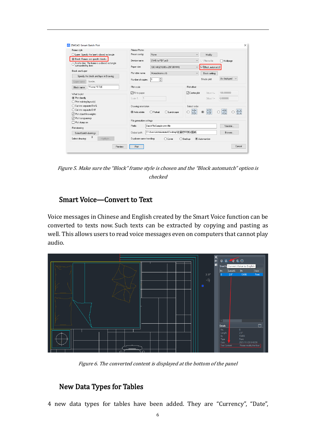| Frame style                                                                        | Printer/Plotter          |                                         |                  |                                     |                                    |
|------------------------------------------------------------------------------------|--------------------------|-----------------------------------------|------------------|-------------------------------------|------------------------------------|
| Layer: Specify the layer's closed rectangle                                        | Preset config:           | <b>None</b>                             | $\checkmark$     | Modify                              |                                    |
| Block: Frames are specific blocks<br>Scatter line: The frame is a closed rectangle | Device name:             | DWG to PDF.pc5                          | $\checkmark$     | $\triangledown$ Plot to file        | Multipage                          |
| surrounded by lines                                                                | Paper size:              | ISO A4 (210.00 x 297.00 MM)             | $\checkmark$     | <b><del>○</del>Block automatchi</b> |                                    |
| <b>Block and Laver</b>                                                             | Plot style name:         | Monochrome cth                          | $\checkmark$     | <b>Block setting</b>                |                                    |
| Specify the block and layer in Drawing                                             |                          |                                         |                  |                                     |                                    |
| border.<br>Layer name                                                              | Number of copies:        | 후                                       |                  | Shade plot:                         | As displayed<br>$\checkmark$       |
| *Frame.*TITLE<br><b>Block name</b>                                                 | Plot scale               |                                         | Plot offset      |                                     |                                    |
| What to plot                                                                       | □ Fit to paper           |                                         | □ Center plot    | ∩ffset X=                           | 100 000000                         |
| (C) Plot directly                                                                  | Scale 1:<br>$\vert$ 1    |                                         |                  | Offset Y=                           | in nonono                          |
| ◯ Print existing layout[s]                                                         |                          |                                         |                  |                                     |                                    |
| ◯ Cut into separate DWG                                                            | Drawing orientation      |                                         | Select order     |                                     |                                    |
| ◯ Cut into separate DXF                                                            | (a) Auto rotate          | ◯ Portrait<br>○ Landscane               |                  | $\frac{AB}{4}$<br>$\circledcirc$    | $\frac{A}{B}$<br>$\frac{4-B}{4-A}$ |
| □ Plot object lineweights                                                          |                          |                                         |                  |                                     |                                    |
| □ Plot transparency                                                                | File generation settings |                                         |                  |                                     |                                    |
| □ Plot stamp on                                                                    |                          |                                         |                  |                                     |                                    |
| Plot drawing                                                                       | Prefix                   | BatchPlotSample-zwmtitle                |                  |                                     | Variable                           |
| Select batch drawings                                                              | Output path:             | C:\Users\Administrator\Desktop\批单打印测试图纸 |                  |                                     | Browse                             |
| 0<br>Highlight<br>Select drawing:                                                  | Duplicate name handling: | ○ Cover                                 | $\bigcap$ Backup | Auto-number                         |                                    |

Figure 5. Make sure the "Block" frame style is chosen and the "Block automatch" option is checked

#### <span id="page-8-0"></span>Smart Voice—Convert to Text

Voice messages in Chinese and English created by the Smart Voice function can be converted to texts now. Such texts can be extracted by copying and pasting as well. This allows users to read voice messages even on computers that cannot play audio.



Figure 6. The converted content is displayed at the bottom of the panel

#### <span id="page-8-1"></span>New Data Types for Tables

4 new data types for tables have been added. They are "Currency", "Date",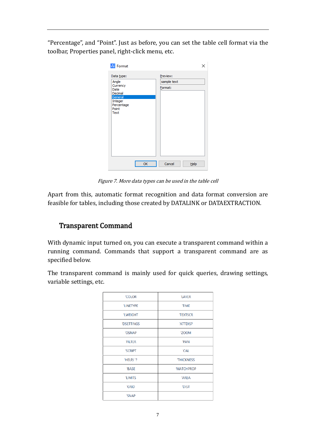"Percentage", and "Point". Just as before, you can set the table cell format via the toolbar, Properties panel, right-click menu, etc.

| <b>A</b> Format                                                                                         |                                    |
|---------------------------------------------------------------------------------------------------------|------------------------------------|
| Data type:<br>Angle<br>Currency<br>Date<br>Decimal<br>General<br>Integer<br>Percentage<br>Point<br>Text | Preview:<br>sample text<br>Format: |
| OK                                                                                                      | Cancel<br>Help                     |

Figure 7. More data types can be used in the table cell

Apart from this, automatic format recognition and data format conversion are feasible for tables, including those created by DATALINK or DATAEXTRACTION.

#### <span id="page-9-0"></span>Transparent Command

With dynamic input turned on, you can execute a transparent command within a running command. Commands that support a transparent command are as specified below.

The transparent command is mainly used for quick queries, drawing settings, variable settings, etc.

| <b>'COLOR</b>     | 'LAYER           |
|-------------------|------------------|
| 'LINETYPE         | <b>TIME</b>      |
| <b>'LWEIGHT</b>   | <b>TEXTSCR</b>   |
| <b>'DSETTINGS</b> | 'ATTDISP         |
| <b>'OSNAP</b>     | 'ZOOM            |
| <b>FILTER</b>     | 'PAN             |
| <b>'SCRIPT</b>    | 'CAL             |
| 'HELP/ '?         | <b>THICKNESS</b> |
| <b>BASE</b>       | <b>MATCHPROP</b> |
| <b>'LIMITS</b>    | 'AREA            |
| 'GRID             | <b>'DIST</b>     |
| 'SNAP             |                  |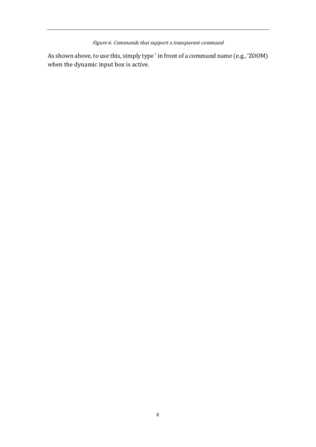Figure 6. Commands that support a transparent command

As shown above, to use this, simply type ' in front of a command name (e.g., 'ZOOM) when the dynamic input box is active.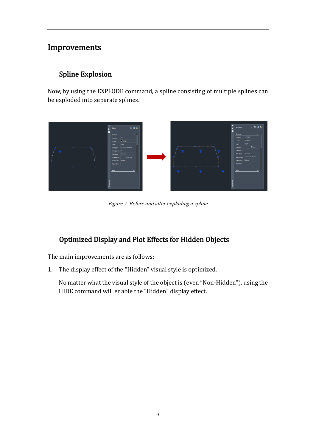## <span id="page-11-0"></span>Improvements

#### <span id="page-11-1"></span>Spline Explosion

Now, by using the EXPLODE command, a spline consisting of multiple splines can be exploded into separate splines.



Figure 7. Before and after exploding a spline

## <span id="page-11-2"></span>Optimized Display and Plot Effects for Hidden Objects

The main improvements are as follows:

1. The display effect of the "Hidden" visual style is optimized.

No matter what the visual style of the object is (even "Non-Hidden"), using the HIDE command will enable the "Hidden" display effect.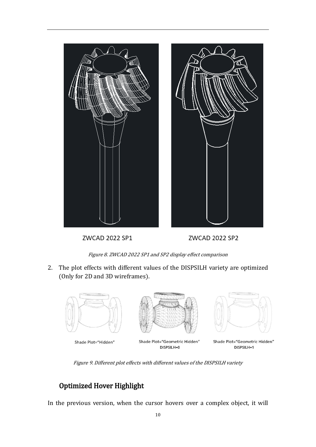

ZWCAD 2022 SP1



ZWCAD 2022 SP2

Figure 8. ZWCAD 2022 SP1 and SP2 display effect comparison

2. The plot effects with different values of the DISPSILH variety are optimized (Only for 2D and 3D wireframes).



Figure 9. Different plot effects with different values of the DISPSILH variety

#### <span id="page-12-0"></span>Optimized Hover Highlight

In the previous version, when the cursor hovers over a complex object, it will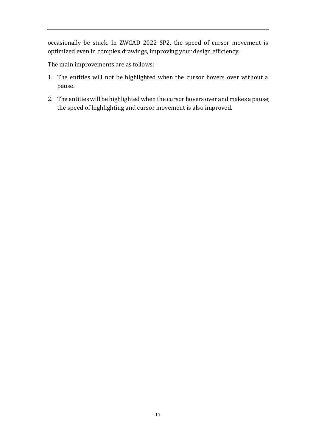occasionally be stuck. In ZWCAD 2022 SP2, the speed of cursor movement is optimized even in complex drawings, improving your design efficiency.

The main improvements are as follows:

- 1. The entities will not be highlighted when the cursor hovers over without a pause.
- 2. The entities will be highlighted when the cursor hovers over and makes a pause; the speed of highlighting and cursor movement is also improved.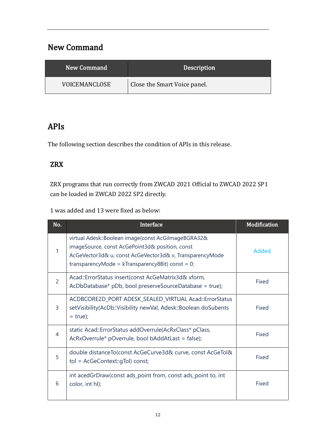## <span id="page-14-0"></span>New Command

| New Command   | <b>Description</b>           |
|---------------|------------------------------|
| VOICEMANCLOSE | Close the Smart Voice panel. |

## <span id="page-14-1"></span>APIs

The following section describes the condition of APIs in this release.

#### <span id="page-14-2"></span>ZRX

ZRX programs that run correctly from ZWCAD 2021 Official to ZWCAD 2022 SP1 can be loaded in ZWCAD 2022 SP2 directly.

1 was added and 13 were fixed as below:

| No.            | Interface                                                                                                                                                                                                                 | Modification |
|----------------|---------------------------------------------------------------------------------------------------------------------------------------------------------------------------------------------------------------------------|--------------|
|                | virtual Adesk::Boolean image(const AcGilmageBGRA32&<br>imageSource, const AcGePoint3d& position, const<br>AcGeVector3d& u, const AcGeVector3d& v, TransparencyMode<br>transparencyMode = $k$ Transparency8Bit) const = 0; | Added        |
| $\overline{2}$ | Acad::ErrorStatus insert(const AcGeMatrix3d& xform,<br>AcDbDatabase* pDb, bool preserveSourceDatabase = true);                                                                                                            | Fixed        |
| 3              | ACDBCORE2D_PORT ADESK_SEALED_VIRTUAL Acad::ErrorStatus<br>setVisibility(AcDb::Visibility newVal, Adesk::Boolean doSubents<br>$= true$ ;                                                                                   | Fixed        |
| 4              | static Acad::ErrorStatus addOverrule(AcRxClass* pClass,<br>AcRxOverrule* pOverrule, bool bAddAtLast = false);                                                                                                             | Fixed        |
| 5              | double distanceTo(const AcGeCurve3d& curve, const AcGeTol&<br>tol = AcGeContext::gTol) const;                                                                                                                             | Fixed        |
| 6              | int acedGrDraw(const ads_point from, const ads_point to, int<br>color, int hl);                                                                                                                                           | Fixed        |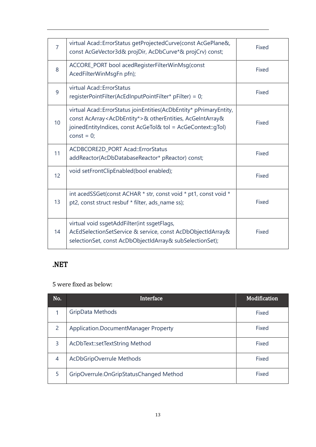| $\overline{7}$  | virtual Acad::ErrorStatus getProjectedCurve(const AcGePlane&,<br>const AcGeVector3d& projDir, AcDbCurve*& projCrv) const;                                                                                                                              | Fixed |
|-----------------|--------------------------------------------------------------------------------------------------------------------------------------------------------------------------------------------------------------------------------------------------------|-------|
| 8               | ACCORE_PORT bool acedRegisterFilterWinMsg(const<br>AcedFilterWinMsgFn pfn);                                                                                                                                                                            | Fixed |
| 9               | virtual Acad::ErrorStatus<br>registerPointFilter(AcEdInputPointFilter* pFilter) = 0;                                                                                                                                                                   | Fixed |
| 10              | virtual Acad::ErrorStatus joinEntities(AcDbEntity* pPrimaryEntity,<br>const AcArray <acdbentity*>&amp; otherEntities, AcGeIntArray&amp;<br/>joinedEntityIndices, const AcGeTol&amp; tol = AcGeContext::gTol)<br/>const = <math>0</math>;</acdbentity*> | Fixed |
| 11              | ACDBCORE2D_PORT Acad::ErrorStatus<br>addReactor(AcDbDatabaseReactor* pReactor) const;                                                                                                                                                                  | Fixed |
| 12 <sup>2</sup> | void setFrontClipEnabled(bool enabled);                                                                                                                                                                                                                | Fixed |
| 13              | int acedSSGet(const ACHAR * str, const void * pt1, const void *<br>pt2, const struct resbuf * filter, ads_name ss);                                                                                                                                    | Fixed |
| 14              | virtual void ssgetAddFilter(int ssgetFlags,<br>AcEdSelectionSetService & service, const AcDbObjectIdArray&<br>selectionSet, const AcDbObjectIdArray& subSelectionSet);                                                                                 | Fixed |

#### <span id="page-15-0"></span>.NET

5 were fixed as below:

| No.            | Interface                               | Modification |
|----------------|-----------------------------------------|--------------|
|                | GripData Methods                        | Fixed        |
| 2              | Application.DocumentManager Property    | Fixed        |
| 3              | AcDbText::setTextString Method          | Fixed        |
| $\overline{4}$ | AcDbGripOverrule Methods                | Fixed        |
| 5              | GripOverrule.OnGripStatusChanged Method | Fixed        |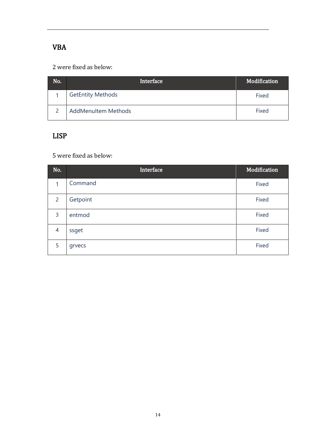## <span id="page-16-0"></span>VBA

2 were fixed as below:

| No. | Interface                  | Modification |
|-----|----------------------------|--------------|
|     | <b>GetEntity Methods</b>   | Fixed        |
|     | <b>AddMenuItem Methods</b> | Fixed        |

#### <span id="page-16-1"></span>LISP

5 were fixed as below:

| No.            | Interface | Modification |
|----------------|-----------|--------------|
| 1              | Command   | Fixed        |
| $\overline{2}$ | Getpoint  | Fixed        |
| 3              | entmod    | Fixed        |
| $\overline{4}$ | ssget     | Fixed        |
| 5              | grvecs    | Fixed        |